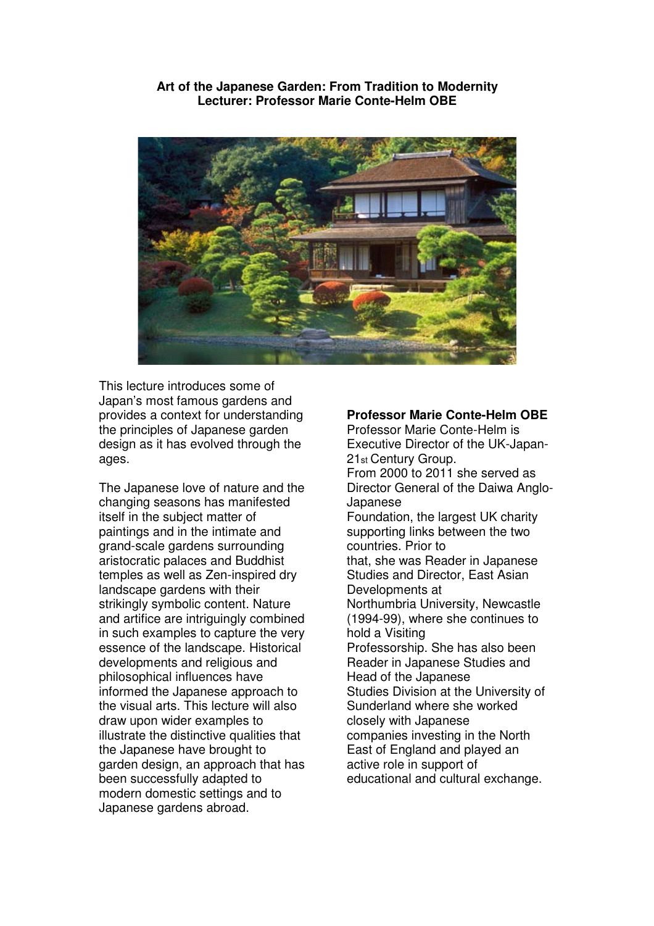**Art of the Japanese Garden: From Tradition to Modernity Lecturer: Professor Marie Conte-Helm OBE** 



This lecture introduces some of Japan's most famous gardens and provides a context for understanding the principles of Japanese garden design as it has evolved through the ages.

The Japanese love of nature and the changing seasons has manifested itself in the subject matter of paintings and in the intimate and grand-scale gardens surrounding aristocratic palaces and Buddhist temples as well as Zen-inspired dry landscape gardens with their strikingly symbolic content. Nature and artifice are intriguingly combined in such examples to capture the very essence of the landscape. Historical developments and religious and philosophical influences have informed the Japanese approach to the visual arts. This lecture will also draw upon wider examples to illustrate the distinctive qualities that the Japanese have brought to garden design, an approach that has been successfully adapted to modern domestic settings and to Japanese gardens abroad.

## **Professor Marie Conte-Helm OBE**

Professor Marie Conte-Helm is Executive Director of the UK-Japan-21st Century Group. From 2000 to 2011 she served as Director General of the Daiwa Anglo-Japanese Foundation, the largest UK charity supporting links between the two countries. Prior to that, she was Reader in Japanese Studies and Director, East Asian Developments at Northumbria University, Newcastle (1994-99), where she continues to hold a Visiting Professorship. She has also been Reader in Japanese Studies and Head of the Japanese Studies Division at the University of Sunderland where she worked closely with Japanese companies investing in the North East of England and played an active role in support of educational and cultural exchange.